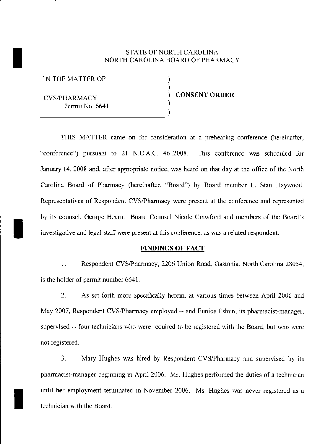# STATE OF NORTH CAROLINA NORTH CAROLINA BOARD OF PHARMACY

) )

)

I N THE MATTER OF

I

I

I

CVS/PIIARMACY Permit No. 6641 CVS/PHARMACY<br>Permit No. 6641<br>(1) ) CONSENT ORDER

THIS MATTER came on for consideration at a prehearing conference (hereinafter, "conference") pursuant to 21 N.C.A.C. 46.2008. This conference was scheduled for January 14,2008 and, after appropriate notice, was heard on that day at the office of the North Carolina Board of Pharmacy (hereinafter, "Board") by Board member L Stan Haywood. Representatives of Respondent CVSlPharmacy were present at the conference and represented by its counsel, George Hearn. Board Counsel Nicole Crawford and members of the Board's investigative and legal staff were present at this conference, as was a related respondent.

### FINDINGS OF FACT

1. Respondent CVS/Pharmacy, 2206 Union Road, Gastonia, North Carolina 28054, is the holder of pennit number 6641.

2. As set forth more specifically herein, at various times between April 2006 and May 2007, Respondent CVS/Pharmacy employed -- and Eunice Eshun, its pharmacist-manager, supervised -- four technicians who were required to be registered with the Board, but who were not registered.

3. Mary Hughes was hired by Respondent CVS/Pharmacy and supervised by its pharmacist-manager beginning in April 2006. Ms. IIughes performed the duties of a technician until her employment terminated in November 2006. Ms. Hughes was never registered as a technician with the Hoard.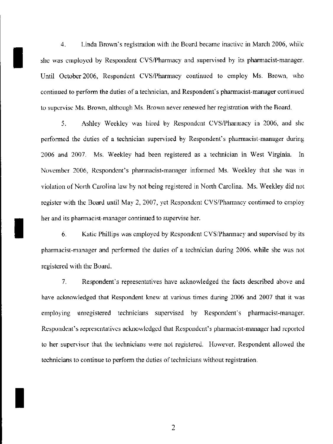4. Linda Brown's registration with the Board became inactive in March 2006, while she was employed by Respondent CVS/Pharmacy and supervised by its pharmacist-manager. Until October 2006, Respondent CVS/Pharmacy continued to employ Ms. Brown, who continued to perform the duties of a technician, and Respondent's pharmacist-manager continued to supervise Ms. Brown, although Ms. Brown never renewed her registration with the Roard.

I

I

I

5. Ashley Weekley was hired by Respondent CVS/Pharmacy in 2006, and she performed the duties of a technician supervised by Respondent's pharmacist-manager during 2006 and 2007. Ms. Weekley had been registered as a technician in West Virginia. In November 2006, Respondent's pharmacist-manager informed Ms. Weekley that she was in violation of North Carolina law hy not heing registered in North Carolina. Ms. Weekley did not register with the Board until May 2, 2007, yet Respondent CYS/Pharmaey continued to employ her and its pharmacist-manager continued to supervise her.

6. Katie Phillips was employed by Respondent CYS/Phannaey and supervised by its pharmacist-manager and performed the duties of a technician during 2006, while she was not registered with the Board.

7. Respondent's representatives have acknowledged the facts described above and have acknowledged that Respondent knew at various times during 2006 and 2007 that it was employing unregistered technicians supervised by Respondent's pharmacist-manager. Respondent's representatives acknowledged that Respondent's pharmacist-manager had reported to her supervisor that the technicians were not registered. However, Respondent allowed the technicians to continue to perform the duties of technicians without registration.

2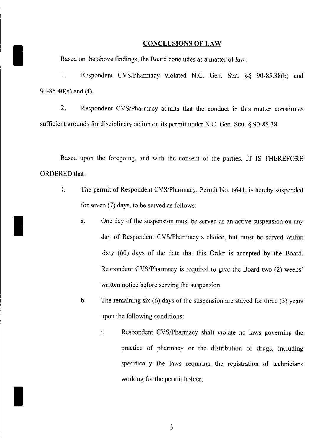#### CONCLUSIONS OF LAW

Based on the above findings, the Board concludes as a matter of law:

I

I

I

I. Respondent CYS/Pharmacy violated N.C Gen. Stat. §§ 90-8538(b) and 90-85.40(a) and (f).

2. Respondent CVS/Pharmacy admits that the conduct in this matter constitutes sufficient grounds for disciplinary action on its permit under N.C. Gen. Stat. § 90-85.38.

Rased upon the foregoing, and with the consent of the parties. IT IS THEREFORE ORDERED that:

- I. The permit of Respondent CVS/Pharmacy, Permit No. 6641, is hereby suspended for seven (7) days, to be served as follows:
	- a. One day of the suspension must be served as an active suspension on any day of Respondent CVS/Pharmacy's choice, but must be served within sixty  $(60)$  days of the date that this Order is accepted by the Board. Respondent CVS/Pharmacy is required to give the Board two (2) weeks' written notice before serving the suspension.
	- b. The remaining six  $(6)$  days of the suspension are stayed for three  $(3)$  years upon the following conditions:
		- i. Respondent CVS/Pharmacy shall violate no laws governing the practice of pharmacy or the distribution of drugs, including specifically the laws requiring the registration of technicians working for the permit holder;

3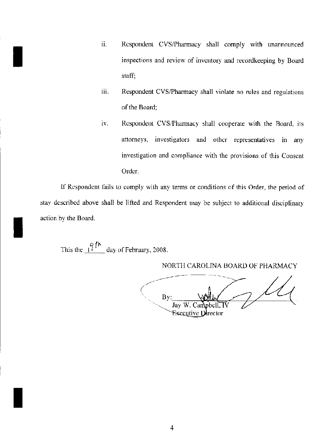- II. Respondent CVS/Pharmacy shall comply with unannounced inspections and review of inventory and rccordkeeping by Board staff;
- iii. Respondent CVS/Pharmacy shall violate no rules and regulations of the Board;
- iv. Respondent CVS/Pharmacy shall cooperate with the Board, its attorneys, investigators and other representatives in any investigation and compliance with the provisions of this Consent Order.

If Respondent fails to comply with any terms or conditions of this Order, the period of stay described above shall be lifted and Respondent may be subject to additional disciplinary action by the Board.

This the  $\frac{1}{2}$   $\int_{0}^{\pi}$  day of February, 2008.

I

I

I

NORTH CAROLINA BOARD OF PHARMACY

/' ( By Jav W. .pbell. IV **Executive Director**